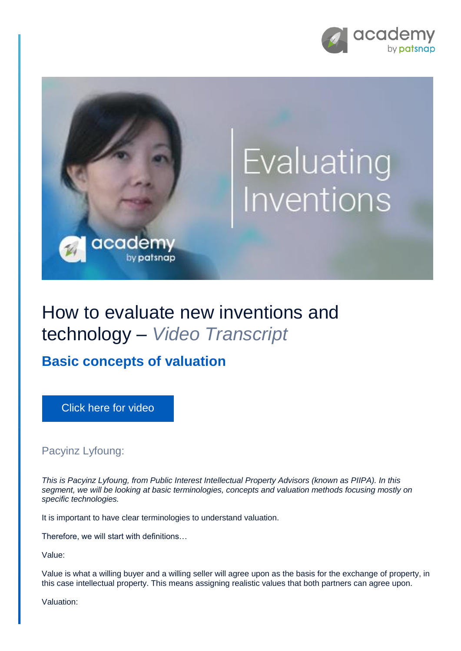



## How to evaluate new inventions and technology – *Video Transcript*

**Basic concepts of valuation**

[Click here for video](https://academy.patsnap.com/courses/5aa90c52a8103300142e12e2/units/5c7001dbc5b87f21d8a5ba3d#module-3)

Pacyinz Lyfoung:

*This is Pacyinz Lyfoung, from Public Interest Intellectual Property Advisors (known as PIIPA). In this segment, we will be looking at basic terminologies, concepts and valuation methods focusing mostly on specific technologies.*

It is important to have clear terminologies to understand valuation.

Therefore, we will start with definitions…

Value:

Value is what a willing buyer and a willing seller will agree upon as the basis for the exchange of property, in this case intellectual property. This means assigning realistic values that both partners can agree upon.

Valuation: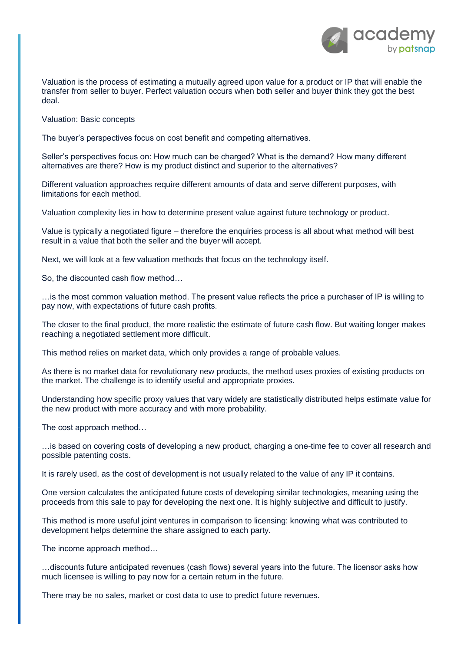

Valuation is the process of estimating a mutually agreed upon value for a product or IP that will enable the transfer from seller to buyer. Perfect valuation occurs when both seller and buyer think they got the best deal.

Valuation: Basic concepts

The buyer's perspectives focus on cost benefit and competing alternatives.

Seller's perspectives focus on: How much can be charged? What is the demand? How many different alternatives are there? How is my product distinct and superior to the alternatives?

Different valuation approaches require different amounts of data and serve different purposes, with limitations for each method.

Valuation complexity lies in how to determine present value against future technology or product.

Value is typically a negotiated figure – therefore the enquiries process is all about what method will best result in a value that both the seller and the buyer will accept.

Next, we will look at a few valuation methods that focus on the technology itself.

So, the discounted cash flow method…

…is the most common valuation method. The present value reflects the price a purchaser of IP is willing to pay now, with expectations of future cash profits.

The closer to the final product, the more realistic the estimate of future cash flow. But waiting longer makes reaching a negotiated settlement more difficult.

This method relies on market data, which only provides a range of probable values.

As there is no market data for revolutionary new products, the method uses proxies of existing products on the market. The challenge is to identify useful and appropriate proxies.

Understanding how specific proxy values that vary widely are statistically distributed helps estimate value for the new product with more accuracy and with more probability.

The cost approach method…

…is based on covering costs of developing a new product, charging a one-time fee to cover all research and possible patenting costs.

It is rarely used, as the cost of development is not usually related to the value of any IP it contains.

One version calculates the anticipated future costs of developing similar technologies, meaning using the proceeds from this sale to pay for developing the next one. It is highly subjective and difficult to justify.

This method is more useful joint ventures in comparison to licensing: knowing what was contributed to development helps determine the share assigned to each party.

The income approach method…

…discounts future anticipated revenues (cash flows) several years into the future. The licensor asks how much licensee is willing to pay now for a certain return in the future.

There may be no sales, market or cost data to use to predict future revenues.